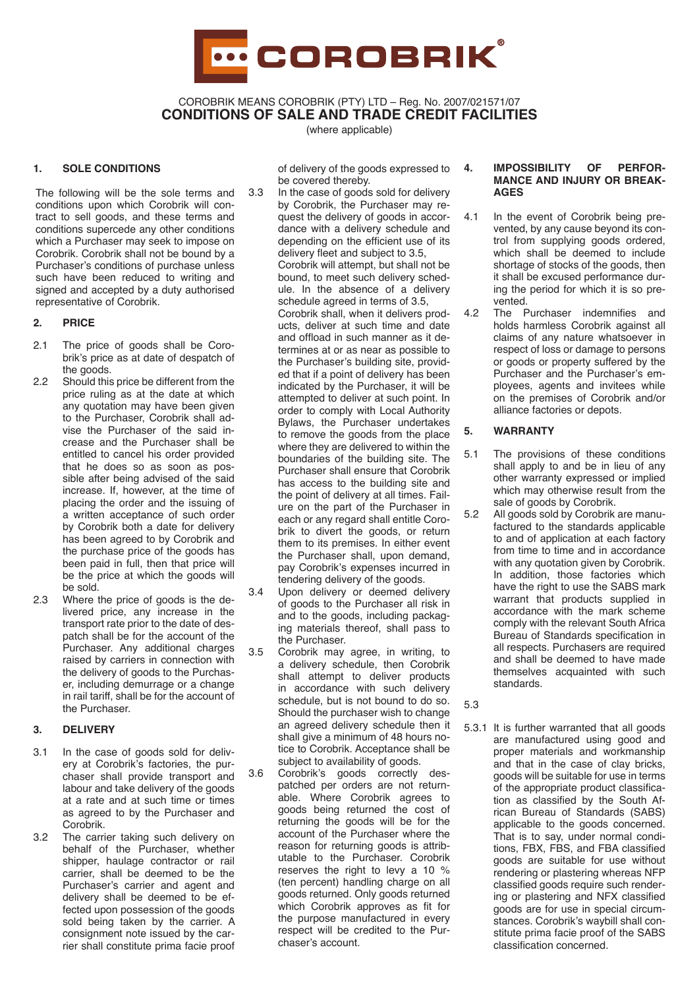

COROBRIK MEANS COROBRIK (PTY) LTD – Reg. No. 2007/021571/07 **CONDITIONS OF SALE AND TRADE CREDIT FACILITIES**

(where applicable)

## **1. SOLE CONDITIONS**

The following will be the sole terms and conditions upon which Corobrik will contract to sell goods, and these terms and conditions supercede any other conditions which a Purchaser may seek to impose on Corobrik. Corobrik shall not be bound by a Purchaser's conditions of purchase unless such have been reduced to writing and signed and accepted by a duty authorised representative of Corobrik.

# **2. PRICE**

- 2.1 The price of goods shall be Corobrik's price as at date of despatch of the goods.
- 2.2 Should this price be different from the price ruling as at the date at which any quotation may have been given to the Purchaser, Corobrik shall advise the Purchaser of the said increase and the Purchaser shall be entitled to cancel his order provided that he does so as soon as possible after being advised of the said increase. If, however, at the time of placing the order and the issuing of a written acceptance of such order by Corobrik both a date for delivery has been agreed to by Corobrik and the purchase price of the goods has been paid in full, then that price will be the price at which the goods will be sold.
- 2.3 Where the price of goods is the delivered price, any increase in the transport rate prior to the date of despatch shall be for the account of the Purchaser. Any additional charges raised by carriers in connection with the delivery of goods to the Purchaser, including demurrage or a change in rail tariff, shall be for the account of the Purchaser.

# **3. DELIVERY**

- 3.1 In the case of goods sold for delivery at Corobrik's factories, the purchaser shall provide transport and labour and take delivery of the goods at a rate and at such time or times as agreed to by the Purchaser and Corobrik.
- 3.2 The carrier taking such delivery on behalf of the Purchaser, whether shipper, haulage contractor or rail carrier, shall be deemed to be the Purchaser's carrier and agent and delivery shall be deemed to be effected upon possession of the goods sold being taken by the carrier. A consignment note issued by the carrier shall constitute prima facie proof

of delivery of the goods expressed to be covered thereby.

- 3.3 In the case of goods sold for delivery by Corobrik, the Purchaser may request the delivery of goods in accordance with a delivery schedule and depending on the efficient use of its delivery fleet and subject to 3.5, Corobrik will attempt, but shall not be bound, to meet such delivery schedule. In the absence of a delivery schedule agreed in terms of 3.5, Corobrik shall, when it delivers products, deliver at such time and date and offload in such manner as it determines at or as near as possible to the Purchaser's building site, provided that if a point of delivery has been indicated by the Purchaser, it will be attempted to deliver at such point. In order to comply with Local Authority Bylaws, the Purchaser undertakes to remove the goods from the place where they are delivered to within the boundaries of the building site. The Purchaser shall ensure that Corobrik has access to the building site and the point of delivery at all times. Failure on the part of the Purchaser in each or any regard shall entitle Corobrik to divert the goods, or return them to its premises. In either event the Purchaser shall, upon demand, pay Corobrik's expenses incurred in tendering delivery of the goods.
- 3.4 Upon delivery or deemed delivery of goods to the Purchaser all risk in and to the goods, including packaging materials thereof, shall pass to the Purchaser.
- 3.5 Corobrik may agree, in writing, to a delivery schedule, then Corobrik shall attempt to deliver products in accordance with such delivery schedule, but is not bound to do so. Should the purchaser wish to change an agreed delivery schedule then it shall give a minimum of 48 hours notice to Corobrik. Acceptance shall be subject to availability of goods.
- 3.6 Corobrik's goods correctly despatched per orders are not returnable. Where Corobrik agrees to goods being returned the cost of returning the goods will be for the account of the Purchaser where the reason for returning goods is attributable to the Purchaser. Corobrik reserves the right to levy a 10 % (ten percent) handling charge on all goods returned. Only goods returned which Corobrik approves as fit for the purpose manufactured in every respect will be credited to the Purchaser's account.

#### **4. IMPOSSIBILITY OF PERFOR-MANCE AND INJURY OR BREAK-AGES**

- 4.1 In the event of Corobrik being prevented, by any cause beyond its control from supplying goods ordered, which shall be deemed to include shortage of stocks of the goods, then it shall be excused performance during the period for which it is so prevented.
- 4.2 The Purchaser indemnifies and holds harmless Corobrik against all claims of any nature whatsoever in respect of loss or damage to persons or goods or property suffered by the Purchaser and the Purchaser's employees, agents and invitees while on the premises of Corobrik and/or alliance factories or depots.

# **5. WARRANTY**

- 5.1 The provisions of these conditions shall apply to and be in lieu of any other warranty expressed or implied which may otherwise result from the sale of goods by Corobrik.
- 5.2 All goods sold by Corobrik are manufactured to the standards applicable to and of application at each factory from time to time and in accordance with any quotation given by Corobrik. In addition, those factories which have the right to use the SABS mark warrant that products supplied in accordance with the mark scheme comply with the relevant South Africa Bureau of Standards specification in all respects. Purchasers are required and shall be deemed to have made themselves acquainted with such standards.
- 5.3
- 5.3.1 It is further warranted that all goods are manufactured using good and proper materials and workmanship and that in the case of clay bricks, goods will be suitable for use in terms of the appropriate product classification as classified by the South African Bureau of Standards (SABS) applicable to the goods concerned. That is to say, under normal conditions, FBX, FBS, and FBA classified goods are suitable for use without rendering or plastering whereas NFP classified goods require such rendering or plastering and NFX classified goods are for use in special circumstances. Corobrik's waybill shall constitute prima facie proof of the SABS classification concerned.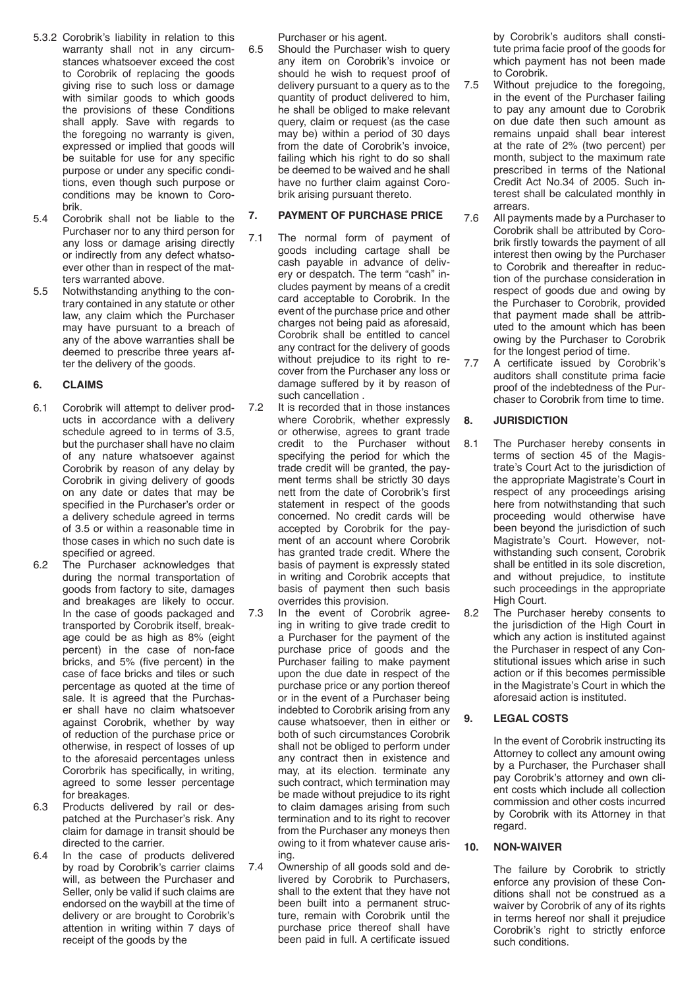- 5.3.2 Corobrik's liability in relation to this warranty shall not in any circumstances whatsoever exceed the cost to Corobrik of replacing the goods giving rise to such loss or damage with similar goods to which goods the provisions of these Conditions shall apply. Save with regards to the foregoing no warranty is given, expressed or implied that goods will be suitable for use for any specific purpose or under any specific conditions, even though such purpose or conditions may be known to Corobrik.
- 5.4 Corobrik shall not be liable to the Purchaser nor to any third person for any loss or damage arising directly or indirectly from any defect whatsoever other than in respect of the matters warranted above.
- 5.5 Notwithstanding anything to the contrary contained in any statute or other law, any claim which the Purchaser may have pursuant to a breach of any of the above warranties shall be deemed to prescribe three years after the delivery of the goods.

# **6. CLAIMS**

- 6.1 Corobrik will attempt to deliver products in accordance with a delivery schedule agreed to in terms of 3.5, but the purchaser shall have no claim of any nature whatsoever against Corobrik by reason of any delay by Corobrik in giving delivery of goods on any date or dates that may be specified in the Purchaser's order or a delivery schedule agreed in terms of 3.5 or within a reasonable time in those cases in which no such date is specified or agreed.
- 6.2 The Purchaser acknowledges that during the normal transportation of goods from factory to site, damages and breakages are likely to occur. In the case of goods packaged and transported by Corobrik itself, breakage could be as high as 8% (eight percent) in the case of non-face bricks, and 5% (five percent) in the case of face bricks and tiles or such percentage as quoted at the time of sale. It is agreed that the Purchaser shall have no claim whatsoever against Corobrik, whether by way of reduction of the purchase price or otherwise, in respect of losses of up to the aforesaid percentages unless Cororbrik has specifically, in writing, agreed to some lesser percentage for breakages.
- 6.3 Products delivered by rail or despatched at the Purchaser's risk. Any claim for damage in transit should be directed to the carrier.
- 6.4 In the case of products delivered by road by Corobrik's carrier claims will, as between the Purchaser and Seller, only be valid if such claims are endorsed on the waybill at the time of delivery or are brought to Corobrik's attention in writing within 7 days of receipt of the goods by the

Purchaser or his agent.

6.5 Should the Purchaser wish to query any item on Corobrik's invoice or should he wish to request proof of delivery pursuant to a query as to the quantity of product delivered to him, he shall be obliged to make relevant query, claim or request (as the case may be) within a period of 30 days from the date of Corobrik's invoice, failing which his right to do so shall be deemed to be waived and he shall have no further claim against Corobrik arising pursuant thereto.

## **7. PAYMENT OF PURCHASE PRICE**

- 7.1 The normal form of payment of goods including cartage shall be cash payable in advance of delivery or despatch. The term "cash" includes payment by means of a credit card acceptable to Corobrik. In the event of the purchase price and other charges not being paid as aforesaid, Corobrik shall be entitled to cancel any contract for the delivery of goods without prejudice to its right to recover from the Purchaser any loss or damage suffered by it by reason of such cancellation .
- 7.2 It is recorded that in those instances where Corobrik, whether expressly or otherwise, agrees to grant trade credit to the Purchaser without specifying the period for which the trade credit will be granted, the payment terms shall be strictly 30 days nett from the date of Corobrik's first statement in respect of the goods concerned. No credit cards will be accepted by Corobrik for the payment of an account where Corobrik has granted trade credit. Where the basis of payment is expressly stated in writing and Corobrik accepts that basis of payment then such basis overrides this provision.
- 7.3 In the event of Corobrik agreeing in writing to give trade credit to a Purchaser for the payment of the purchase price of goods and the Purchaser failing to make payment upon the due date in respect of the purchase price or any portion thereof or in the event of a Purchaser being indebted to Corobrik arising from any cause whatsoever, then in either or both of such circumstances Corobrik shall not be obliged to perform under any contract then in existence and may, at its election. terminate any such contract, which termination may be made without prejudice to its right to claim damages arising from such termination and to its right to recover from the Purchaser any moneys then owing to it from whatever cause arising.
- 7.4 Ownership of all goods sold and delivered by Corobrik to Purchasers, shall to the extent that they have not been built into a permanent structure, remain with Corobrik until the purchase price thereof shall have been paid in full. A certificate issued

by Corobrik's auditors shall constitute prima facie proof of the goods for which payment has not been made to Corobrik.

- 7.5 Without prejudice to the foregoing, in the event of the Purchaser failing to pay any amount due to Corobrik on due date then such amount as remains unpaid shall bear interest at the rate of 2% (two percent) per month, subject to the maximum rate prescribed in terms of the National Credit Act No.34 of 2005. Such interest shall be calculated monthly in arrears.
- 7.6 All payments made by a Purchaser to Corobrik shall be attributed by Corobrik firstly towards the payment of all interest then owing by the Purchaser to Corobrik and thereafter in reduction of the purchase consideration in respect of goods due and owing by the Purchaser to Corobrik, provided that payment made shall be attributed to the amount which has been owing by the Purchaser to Corobrik for the longest period of time.
- 7.7 A certificate issued by Corobrik's auditors shall constitute prima facie proof of the indebtedness of the Purchaser to Corobrik from time to time.

# **8. JURISDICTION**

- 8.1 The Purchaser hereby consents in terms of section 45 of the Magistrate's Court Act to the jurisdiction of the appropriate Magistrate's Court in respect of any proceedings arising here from notwithstanding that such proceeding would otherwise have been beyond the jurisdiction of such Magistrate's Court. However, notwithstanding such consent, Corobrik shall be entitled in its sole discretion, and without prejudice, to institute such proceedings in the appropriate High Court.
- 8.2 The Purchaser hereby consents to the jurisdiction of the High Court in which any action is instituted against the Purchaser in respect of any Constitutional issues which arise in such action or if this becomes permissible in the Magistrate's Court in which the aforesaid action is instituted.

## **9. LEGAL COSTS**

In the event of Corobrik instructing its Attorney to collect any amount owing by a Purchaser, the Purchaser shall pay Corobrik's attorney and own client costs which include all collection commission and other costs incurred by Corobrik with its Attorney in that regard.

## **10. NON-WAIVER**

The failure by Corobrik to strictly enforce any provision of these Conditions shall not be construed as a waiver by Corobrik of any of its rights in terms hereof nor shall it prejudice Corobrik's right to strictly enforce such conditions.